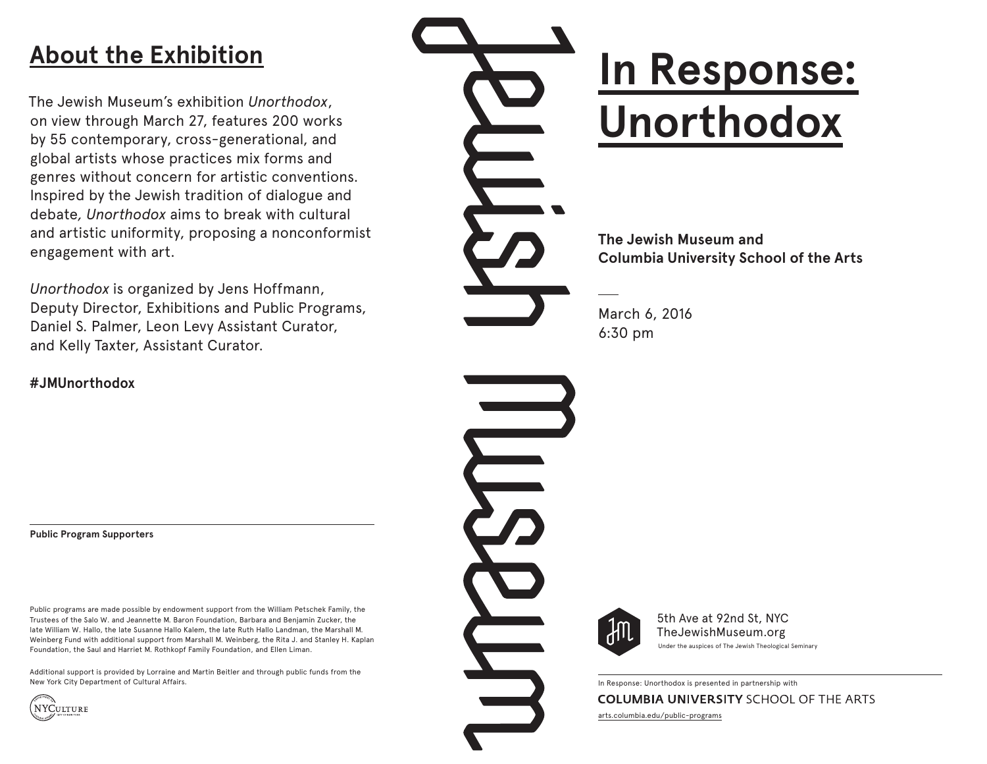# **About the Exhibition**

The Jewish Museum's exhibition *Unorthodox*, on view through March 27, features 200 works by 55 contemporary, cross-generational, and global artists whose practices mix forms and genres without concern for artistic conventions. Inspired by the Jewish tradition of dialogue and debate*, Unorthodox* aims to break with cultural and artistic uniformity, proposing a nonconformist engagement with art.

*Unorthodox* is organized by Jens Hoffmann, Deputy Director, Exhibitions and Public Programs, Daniel S. Palmer, Leon Levy Assistant Curator, and Kelly Taxter, Assistant Curator.

**#JMUnorthodox**

**Public Program Supporters** 

Public programs are made possible by endowment support from the William Petschek Family, the Trustees of the Salo W. and Jeannette M. Baron Foundation, Barbara and Benjamin Zucker, the late William W. Hallo, the late Susanne Hallo Kalem, the late Ruth Hallo Landman, the Marshall M. Weinberg Fund with additional support from Marshall M. Weinberg, the Rita J. and Stanley H. Kaplan Foundation, the Saul and Harriet M. Rothkopf Family Foundation, and Ellen Liman.

Additional support is provided by Lorraine and Martin Beitler and through public funds from the New York City Department of Cultural Affairs.



# **In Response: Unorthodox**

**The Jewish Museum and Columbia University School of the Arts**

March 6, 2016 6:30 pm



5th Ave at 92nd St, NYC TheJewishMuseum.org Under the auspices of The Jewish Theological Seminary

In Response: Unorthodox is presented in partnership with **COLUMBIA UNIVERSITY SCHOOL OF THE ARTS** arts.columbia.edu/public-programs